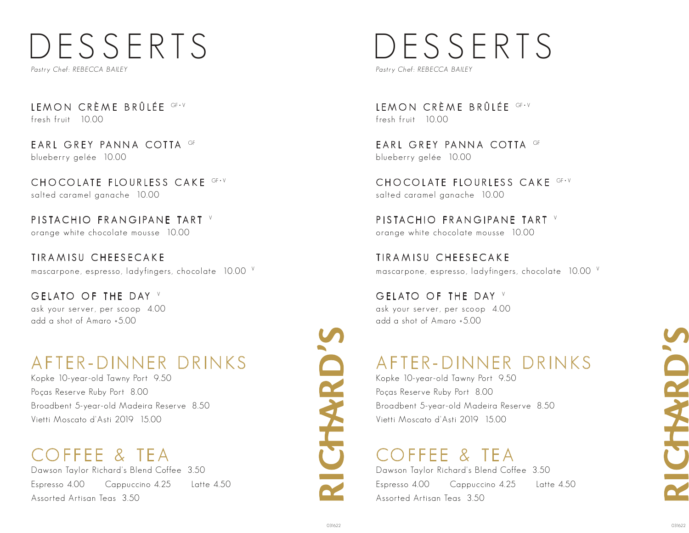# DESSERTS

Pastry Chef: REBECCA BAILEY

LEMON CRÈME BRÛLÉE GF-V fresh fruit 10.00

EARL GREY PANNA COTTA GF blueberry gelée 10.00

CHO COLATE FLOURLESS CAKE GF-V salted caramel ganache 10.00

PISTACHIO FRANGIPANE TART V orange white chocolate mousse 10.00

TIRAMISU CHEESECAKE mascarpone, espresso, ladyfingers, chocolate 10.00 <sup>V</sup>

GELATO OF THE DAY V ask your server, per scoop 4.00 add a shot of Amaro +5.00

# AFTER-DINNER DRINKS

Kopke 10-year-old Tawny Port 9.50 Poças Reserve Ruby Port 8.00 Broadbent 5-year-old Madeira Reserve 8.50 Vietti Moscato d'Asti 2019 15.00

## COFFEE & TEA

Dawson Taylor Richard's Blend Coffee 3.50 Espresso 4.00 Cappuccino 4.25 Latte 4.50 Assorted Artisan Teas 3.50

# **RICTHARD'S**

# DESSERTS

Pastry Chef: REBECCA BAILEY

LEMON CRÈME BRÛLÉE GF-V fresh fruit 10.00

EARL GREY PANNA COTTA GF blueberry gelée 10.00

CHO COLATE FLOURLESS CAKE GF-V salted caramel ganache 10.00

PISTACHIO FRANGIPANE TART V orange white chocolate mousse 10.00

TIRAMISU CHEESECAKE mascarpone, espresso, ladyfingers, chocolate 10.00 <sup>V</sup>

GELATO OF THE DAY V ask your server, per scoop 4.00 add a shot of Amaro +5.00

## AFTER-DINNER DRINKS

Kopke 10-year-old Tawny Port 9.50 Poças Reserve Ruby Port 8.00 Broadbent 5-year-old Madeira Reserve 8.50 Vietti Moscato d'Asti 2019 15.00

### COFFEE & TEA

Dawson Taylor Richard's Blend Coffee 3.50 Espresso 4.00 Cappuccino 4.25 Latte 4.50 Assorted Artisan Teas 3.50